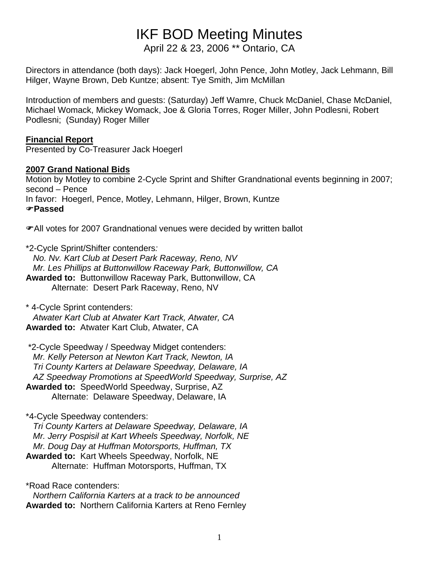# IKF BOD Meeting Minutes

April 22 & 23, 2006 \*\* Ontario, CA

Directors in attendance (both days): Jack Hoegerl, John Pence, John Motley, Jack Lehmann, Bill Hilger, Wayne Brown, Deb Kuntze; absent: Tye Smith, Jim McMillan

Introduction of members and guests: (Saturday) Jeff Wamre, Chuck McDaniel, Chase McDaniel, Michael Womack, Mickey Womack, Joe & Gloria Torres, Roger Miller, John Podlesni, Robert Podlesni; (Sunday) Roger Miller

#### **Financial Report**

Presented by Co-Treasurer Jack Hoegerl

### **2007 Grand National Bids**

Motion by Motley to combine 2-Cycle Sprint and Shifter Grandnational events beginning in 2007; second – Pence In favor: Hoegerl, Pence, Motley, Lehmann, Hilger, Brown, Kuntze )**Passed** 

**• All votes for 2007 Grandnational venues were decided by written ballot** 

\*2-Cycle Sprint/Shifter contenders*: No. Nv. Kart Club at Desert Park Raceway, Reno, NV Mr. Les Phillips at Buttonwillow Raceway Park, Buttonwillow, CA* **Awarded to:** Buttonwillow Raceway Park, Buttonwillow, CA Alternate: Desert Park Raceway, Reno, NV

\* 4-Cycle Sprint contenders:  *Atwater Kart Club at Atwater Kart Track, Atwater, CA*  **Awarded to:** Atwater Kart Club, Atwater, CA

 \*2-Cycle Speedway / Speedway Midget contenders:  *Mr. Kelly Peterson at Newton Kart Track, Newton, IA Tri County Karters at Delaware Speedway, Delaware, IA AZ Speedway Promotions at SpeedWorld Speedway, Surprise, AZ*  **Awarded to:** SpeedWorld Speedway, Surprise, AZ Alternate: Delaware Speedway, Delaware, IA

\*4-Cycle Speedway contenders:  *Tri County Karters at Delaware Speedway, Delaware, IA Mr. Jerry Pospisil at Kart Wheels Speedway, Norfolk, NE Mr. Doug Day at Huffman Motorsports, Huffman, TX* **Awarded to:** Kart Wheels Speedway, Norfolk, NE Alternate: Huffman Motorsports, Huffman, TX

\*Road Race contenders:  *Northern California Karters at a track to be announced*  **Awarded to:** Northern California Karters at Reno Fernley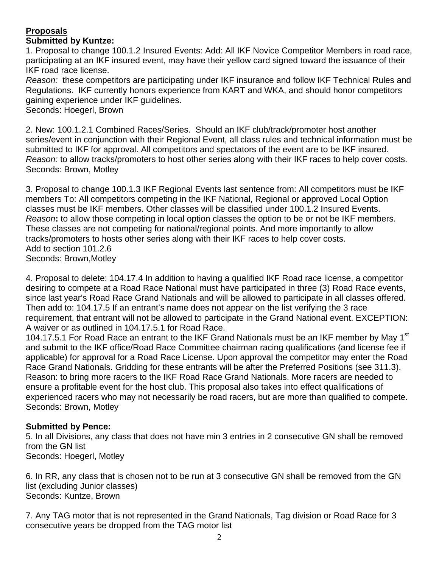#### **Proposals Submitted by Kuntze:**

1. Proposal to change 100.1.2 Insured Events: Add: All IKF Novice Competitor Members in road race, participating at an IKF insured event, may have their yellow card signed toward the issuance of their IKF road race license.

*Reason:* these competitors are participating under IKF insurance and follow IKF Technical Rules and Regulations. IKF currently honors experience from KART and WKA, and should honor competitors gaining experience under IKF guidelines.

Seconds: Hoegerl, Brown

2. New: 100.1.2.1 Combined Races/Series. Should an IKF club/track/promoter host another series/event in conjunction with their Regional Event, all class rules and technical information must be submitted to IKF for approval. All competitors and spectators of the event are to be IKF insured. *Reason:* to allow tracks/promoters to host other series along with their IKF races to help cover costs. Seconds: Brown, Motley

3. Proposal to change 100.1.3 IKF Regional Events last sentence from: All competitors must be IKF members To: All competitors competing in the IKF National, Regional or approved Local Option classes must be IKF members. Other classes will be classified under 100.1.2 Insured Events. *Reason***:** to allow those competing in local option classes the option to be or not be IKF members. These classes are not competing for national/regional points. And more importantly to allow tracks/promoters to hosts other series along with their IKF races to help cover costs. Add to section 101.2.6 Seconds: Brown,Motley

4. Proposal to delete: 104.17.4 In addition to having a qualified IKF Road race license, a competitor desiring to compete at a Road Race National must have participated in three (3) Road Race events, since last year's Road Race Grand Nationals and will be allowed to participate in all classes offered. Then add to: 104.17.5 If an entrant's name does not appear on the list verifying the 3 race requirement, that entrant will not be allowed to participate in the Grand National event. EXCEPTION: A waiver or as outlined in 104.17.5.1 for Road Race.

104.17.5.1 For Road Race an entrant to the IKF Grand Nationals must be an IKF member by May 1<sup>st</sup> and submit to the IKF office/Road Race Committee chairman racing qualifications (and license fee if applicable) for approval for a Road Race License. Upon approval the competitor may enter the Road Race Grand Nationals. Gridding for these entrants will be after the Preferred Positions (see 311.3). Reason: to bring more racers to the IKF Road Race Grand Nationals. More racers are needed to ensure a profitable event for the host club. This proposal also takes into effect qualifications of experienced racers who may not necessarily be road racers, but are more than qualified to compete. Seconds: Brown, Motley

#### **Submitted by Pence:**

5. In all Divisions, any class that does not have min 3 entries in 2 consecutive GN shall be removed from the GN list Seconds: Hoegerl, Motley

6. In RR, any class that is chosen not to be run at 3 consecutive GN shall be removed from the GN list (excluding Junior classes) Seconds: Kuntze, Brown

7. Any TAG motor that is not represented in the Grand Nationals, Tag division or Road Race for 3 consecutive years be dropped from the TAG motor list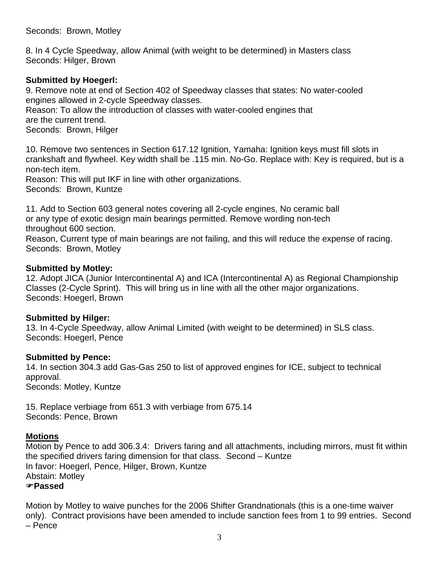Seconds: Brown, Motley

8. In 4 Cycle Speedway, allow Animal (with weight to be determined) in Masters class Seconds: Hilger, Brown

#### **Submitted by Hoegerl:**

9. Remove note at end of Section 402 of Speedway classes that states: No water-cooled engines allowed in 2-cycle Speedway classes.

Reason: To allow the introduction of classes with water-cooled engines that are the current trend.

Seconds: Brown, Hilger

10. Remove two sentences in Section 617.12 Ignition, Yamaha: Ignition keys must fill slots in crankshaft and flywheel. Key width shall be .115 min. No-Go. Replace with: Key is required, but is a non-tech item.

Reason: This will put IKF in line with other organizations. Seconds: Brown, Kuntze

11. Add to Section 603 general notes covering all 2-cycle engines, No ceramic ball or any type of exotic design main bearings permitted. Remove wording non-tech throughout 600 section.

Reason, Current type of main bearings are not failing, and this will reduce the expense of racing. Seconds: Brown, Motley

#### **Submitted by Motley:**

12. Adopt JICA (Junior Intercontinental A) and ICA (Intercontinental A) as Regional Championship Classes (2-Cycle Sprint). This will bring us in line with all the other major organizations. Seconds: Hoegerl, Brown

#### **Submitted by Hilger:**

13. In 4-Cycle Speedway, allow Animal Limited (with weight to be determined) in SLS class. Seconds: Hoegerl, Pence

#### **Submitted by Pence:**

14. In section 304.3 add Gas-Gas 250 to list of approved engines for ICE, subject to technical approval. Seconds: Motley, Kuntze

15. Replace verbiage from 651.3 with verbiage from 675.14 Seconds: Pence, Brown

#### **Motions**

Motion by Pence to add 306.3.4: Drivers faring and all attachments, including mirrors, must fit within the specified drivers faring dimension for that class. Second – Kuntze In favor: Hoegerl, Pence, Hilger, Brown, Kuntze Abstain: Motley )**Passed**

Motion by Motley to waive punches for the 2006 Shifter Grandnationals (this is a one-time waiver only). Contract provisions have been amended to include sanction fees from 1 to 99 entries. Second – Pence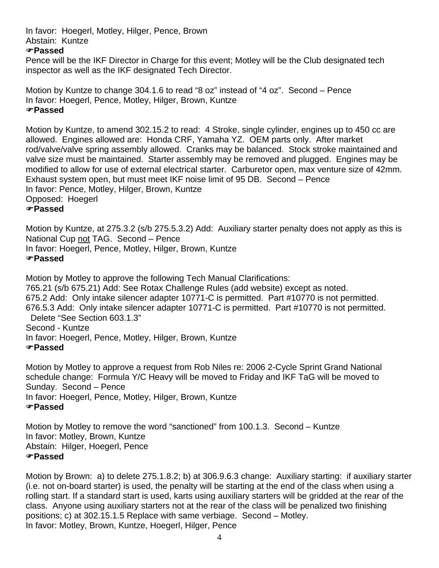#### In favor: Hoegerl, Motley, Hilger, Pence, Brown Abstain: Kuntze

#### )**Passed**

Pence will be the IKF Director in Charge for this event; Motley will be the Club designated tech inspector as well as the IKF designated Tech Director.

Motion by Kuntze to change 304.1.6 to read "8 oz" instead of "4 oz". Second – Pence In favor: Hoegerl, Pence, Motley, Hilger, Brown, Kuntze )**Passed**

Motion by Kuntze, to amend 302.15.2 to read: 4 Stroke, single cylinder, engines up to 450 cc are allowed. Engines allowed are: Honda CRF, Yamaha YZ. OEM parts only. After market rod/valve/valve spring assembly allowed. Cranks may be balanced. Stock stroke maintained and valve size must be maintained. Starter assembly may be removed and plugged. Engines may be modified to allow for use of external electrical starter. Carburetor open, max venture size of 42mm. Exhaust system open, but must meet IKF noise limit of 95 DB. Second – Pence In favor: Pence, Motley, Hilger, Brown, Kuntze Opposed: Hoegerl )**Passed**

Motion by Kuntze, at 275.3.2 (s/b 275.5.3.2) Add: Auxiliary starter penalty does not apply as this is National Cup not TAG. Second – Pence In favor: Hoegerl, Pence, Motley, Hilger, Brown, Kuntze )**Passed**

Motion by Motley to approve the following Tech Manual Clarifications: 765.21 (s/b 675.21) Add: See Rotax Challenge Rules (add website) except as noted. 675.2 Add: Only intake silencer adapter 10771-C is permitted. Part #10770 is not permitted. 676.5.3 Add: Only intake silencer adapter 10771-C is permitted. Part #10770 is not permitted. Delete "See Section 603.1.3" Second - Kuntze In favor: Hoegerl, Pence, Motley, Hilger, Brown, Kuntze )**Passed** 

Motion by Motley to approve a request from Rob Niles re: 2006 2-Cycle Sprint Grand National schedule change: Formula Y/C Heavy will be moved to Friday and IKF TaG will be moved to Sunday. Second – Pence In favor: Hoegerl, Pence, Motley, Hilger, Brown, Kuntze )**Passed**

Motion by Motley to remove the word "sanctioned" from 100.1.3. Second – Kuntze In favor: Motley, Brown, Kuntze Abstain: Hilger, Hoegerl, Pence )**Passed**

Motion by Brown: a) to delete 275.1.8.2; b) at 306.9.6.3 change: Auxiliary starting: if auxiliary starter (i.e. not on-board starter) is used, the penalty will be starting at the end of the class when using a rolling start. If a standard start is used, karts using auxiliary starters will be gridded at the rear of the class. Anyone using auxiliary starters not at the rear of the class will be penalized two finishing positions; c) at 302.15.1.5 Replace with same verbiage. Second – Motley. In favor: Motley, Brown, Kuntze, Hoegerl, Hilger, Pence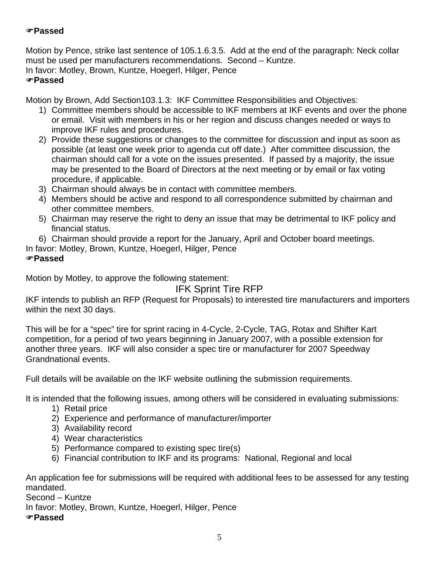## )**Passed**

Motion by Pence, strike last sentence of 105.1.6.3.5. Add at the end of the paragraph: Neck collar must be used per manufacturers recommendations. Second – Kuntze. In favor: Motley, Brown, Kuntze, Hoegerl, Hilger, Pence

#### )**Passed**

Motion by Brown, Add Section103.1.3: IKF Committee Responsibilities and Objectives:

- 1) Committee members should be accessible to IKF members at IKF events and over the phone or email. Visit with members in his or her region and discuss changes needed or ways to improve IKF rules and procedures.
- 2) Provide these suggestions or changes to the committee for discussion and input as soon as possible (at least one week prior to agenda cut off date.) After committee discussion, the chairman should call for a vote on the issues presented. If passed by a majority, the issue may be presented to the Board of Directors at the next meeting or by email or fax voting procedure, if applicable.
- 3) Chairman should always be in contact with committee members.
- 4) Members should be active and respond to all correspondence submitted by chairman and other committee members.
- 5) Chairman may reserve the right to deny an issue that may be detrimental to IKF policy and financial status.
- 6) Chairman should provide a report for the January, April and October board meetings.

In favor: Motley, Brown, Kuntze, Hoegerl, Hilger, Pence

#### )**Passed**

Motion by Motley, to approve the following statement:

# IFK Sprint Tire RFP

IKF intends to publish an RFP (Request for Proposals) to interested tire manufacturers and importers within the next 30 days.

This will be for a "spec" tire for sprint racing in 4-Cycle, 2-Cycle, TAG, Rotax and Shifter Kart competition, for a period of two years beginning in January 2007, with a possible extension for another three years. IKF will also consider a spec tire or manufacturer for 2007 Speedway Grandnational events.

Full details will be available on the IKF website outlining the submission requirements.

It is intended that the following issues, among others will be considered in evaluating submissions:

- 1) Retail price
- 2) Experience and performance of manufacturer/importer
- 3) Availability record
- 4) Wear characteristics
- 5) Performance compared to existing spec tire(s)
- 6) Financial contribution to IKF and its programs: National, Regional and local

An application fee for submissions will be required with additional fees to be assessed for any testing mandated.

Second – Kuntze

In favor: Motley, Brown, Kuntze, Hoegerl, Hilger, Pence

)**Passed**